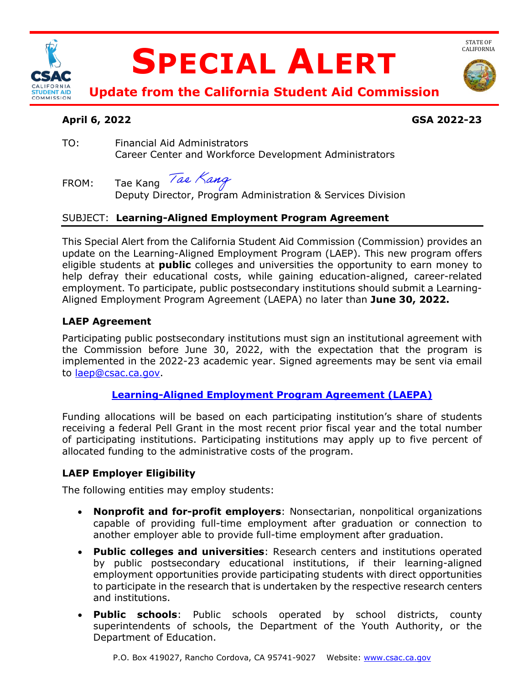

# **SPECIAL ALERT**



**Update from the California Student Aid Commission** 

# **April 6, 2022 GSA 2022-23**

TO: Financial Aid Administrators Career Center and Workforce Development Administrators

FROM: Tae Kang *Tae Nang*<br>Deputy Director, Program Administration & Services Division

## SUBJECT: **Learning-Aligned Employment Program Agreement**

 This Special Alert from the California Student Aid Commission (Commission) provides an update on the Learning-Aligned Employment Program (LAEP). This new program offers help defray their educational costs, while gaining education-aligned, career-related employment. To participate, public postsecondary institutions should submit a Learning-Aligned Employment Program Agreement (LAEPA) no later than **June 30, 2022.**<br>**LAEP Agreement** eligible students at **public** colleges and universities the opportunity to earn money to

Participating public postsecondary institutions must sign an institutional agreement with the Commission before June 30, 2022, with the expectation that the program is implemented in the 2022-23 academic year. Signed agreements may be sent via email to [laep@csac.ca.gov.](mailto:laep@csac.ca.gov)

## **[Learning-Aligned Employment Program Agreement \(LAEPA\)](https://www.csac.ca.gov/laep)**

 Funding allocations will be based on each participating institution's share of students receiving a federal Pell Grant in the most recent prior fiscal year and the total number of participating institutions. Participating institutions may apply up to five percent of allocated funding to the administrative costs of the program.

# **LAEP Employer Eligibility**

The following entities may employ students:

- capable of providing full-time employment after graduation or connection to • **Nonprofit and for-profit employers**: Nonsectarian, nonpolitical organizations another employer able to provide full-time employment after graduation.
- • **Public colleges and universities**: Research centers and institutions operated by public postsecondary educational institutions, if their learning-aligned employment opportunities provide participating students with direct opportunities to participate in the research that is undertaken by the respective research centers and institutions.
- • **Public schools**: Public schools operated by school districts, county superintendents of schools, the Department of the Youth Authority, or the Department of Education.